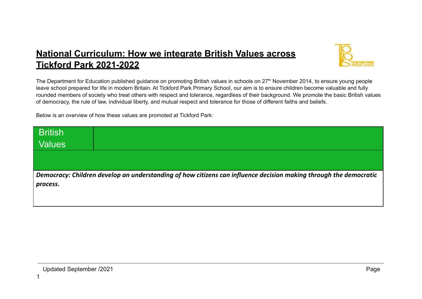## **National Curriculum: How we integrate British Values across Tickford Park 2021-2022**



The Department for Education published guidance on promoting British values in schools on 27<sup>th</sup> November 2014, to ensure young people leave school prepared for life in modern Britain. At Tickford Park Primary School, our aim is to ensure children become valuable and fully rounded members of society who treat others with respect and tolerance, regardless of their background. We promote the basic British values of democracy, the rule of law, individual liberty, and mutual respect and tolerance for those of different faiths and beliefs.

Below is an overview of how these values are promoted at Tickford Park:

| <b>British</b>                                                                                                    |  |  |
|-------------------------------------------------------------------------------------------------------------------|--|--|
| <b>Values</b>                                                                                                     |  |  |
|                                                                                                                   |  |  |
|                                                                                                                   |  |  |
| Democracy: Children develop an understanding of how citizens can influence decision making through the democratic |  |  |
| process.                                                                                                          |  |  |
|                                                                                                                   |  |  |
|                                                                                                                   |  |  |

1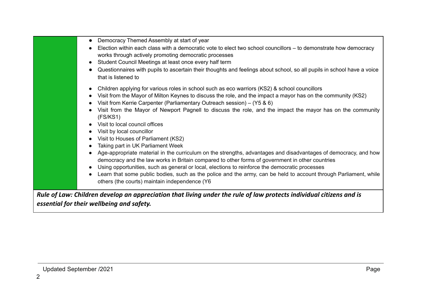|                                                                                                                     | Democracy Themed Assembly at start of year                                                                             |  |  |
|---------------------------------------------------------------------------------------------------------------------|------------------------------------------------------------------------------------------------------------------------|--|--|
|                                                                                                                     | Election within each class with a democratic vote to elect two school councillors – to demonstrate how democracy       |  |  |
|                                                                                                                     | works through actively promoting democratic processes                                                                  |  |  |
|                                                                                                                     | Student Council Meetings at least once every half term                                                                 |  |  |
|                                                                                                                     | Questionnaires with pupils to ascertain their thoughts and feelings about school, so all pupils in school have a voice |  |  |
|                                                                                                                     | that is listened to                                                                                                    |  |  |
|                                                                                                                     |                                                                                                                        |  |  |
|                                                                                                                     | Children applying for various roles in school such as eco warriors (KS2) & school councillors                          |  |  |
|                                                                                                                     | Visit from the Mayor of Milton Keynes to discuss the role, and the impact a mayor has on the community (KS2)           |  |  |
|                                                                                                                     | Visit from Kerrie Carpenter (Parliamentary Outreach session) – (Y5 & 6)                                                |  |  |
|                                                                                                                     | Visit from the Mayor of Newport Pagnell to discuss the role, and the impact the mayor has on the community             |  |  |
|                                                                                                                     | (FS/KS1)                                                                                                               |  |  |
|                                                                                                                     | Visit to local council offices                                                                                         |  |  |
|                                                                                                                     | Visit by local councillor                                                                                              |  |  |
|                                                                                                                     | Visit to Houses of Parliament (KS2)                                                                                    |  |  |
|                                                                                                                     | Taking part in UK Parliament Week                                                                                      |  |  |
|                                                                                                                     | Age-appropriate material in the curriculum on the strengths, advantages and disadvantages of democracy, and how        |  |  |
|                                                                                                                     | democracy and the law works in Britain compared to other forms of government in other countries                        |  |  |
|                                                                                                                     | Using opportunities, such as general or local, elections to reinforce the democratic processes                         |  |  |
|                                                                                                                     | Learn that some public bodies, such as the police and the army, can be held to account through Parliament, while       |  |  |
|                                                                                                                     | others (the courts) maintain independence (Y6                                                                          |  |  |
|                                                                                                                     |                                                                                                                        |  |  |
| Rule of Law: Children develop an appreciation that living under the rule of law protects individual citizens and is |                                                                                                                        |  |  |
|                                                                                                                     |                                                                                                                        |  |  |

*essential for their wellbeing and safety.*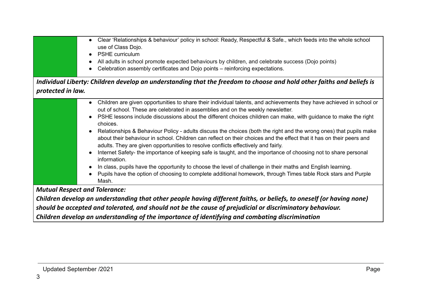| Clear 'Relationships & behaviour' policy in school: Ready, Respectful & Safe., which feeds into the whole school<br>$\bullet$<br>use of Class Dojo.<br><b>PSHE</b> curriculum<br>All adults in school promote expected behaviours by children, and celebrate success (Dojo points)<br>Celebration assembly certificates and Dojo points – reinforcing expectations.                                                                                                                                                                                                                                                                                                                                                                                                                                                                                                                                                                                                                                                                                                |  |  |
|--------------------------------------------------------------------------------------------------------------------------------------------------------------------------------------------------------------------------------------------------------------------------------------------------------------------------------------------------------------------------------------------------------------------------------------------------------------------------------------------------------------------------------------------------------------------------------------------------------------------------------------------------------------------------------------------------------------------------------------------------------------------------------------------------------------------------------------------------------------------------------------------------------------------------------------------------------------------------------------------------------------------------------------------------------------------|--|--|
| Individual Liberty: Children develop an understanding that the freedom to choose and hold other faiths and beliefs is                                                                                                                                                                                                                                                                                                                                                                                                                                                                                                                                                                                                                                                                                                                                                                                                                                                                                                                                              |  |  |
| protected in law.                                                                                                                                                                                                                                                                                                                                                                                                                                                                                                                                                                                                                                                                                                                                                                                                                                                                                                                                                                                                                                                  |  |  |
| Children are given opportunities to share their individual talents, and achievements they have achieved in school or<br>$\bullet$<br>out of school. These are celebrated in assemblies and on the weekly newsletter.<br>PSHE lessons include discussions about the different choices children can make, with guidance to make the right<br>choices.<br>Relationships & Behaviour Policy - adults discuss the choices (both the right and the wrong ones) that pupils make<br>about their behaviour in school. Children can reflect on their choices and the effect that it has on their peers and<br>adults. They are given opportunities to resolve conflicts effectively and fairly.<br>Internet Safety- the importance of keeping safe is taught, and the importance of choosing not to share personal<br>information.<br>In class, pupils have the opportunity to choose the level of challenge in their maths and English learning.<br>Pupils have the option of choosing to complete additional homework, through Times table Rock stars and Purple<br>Mash. |  |  |
| <b>Mutual Respect and Tolerance:</b>                                                                                                                                                                                                                                                                                                                                                                                                                                                                                                                                                                                                                                                                                                                                                                                                                                                                                                                                                                                                                               |  |  |

Children develop an understanding that other people having different faiths, or beliefs, to oneself (or having none) *should be accepted and tolerated, and should not be the cause of prejudicial or discriminatory behaviour. Children develop an understanding of the importance of identifying and combating discrimination*